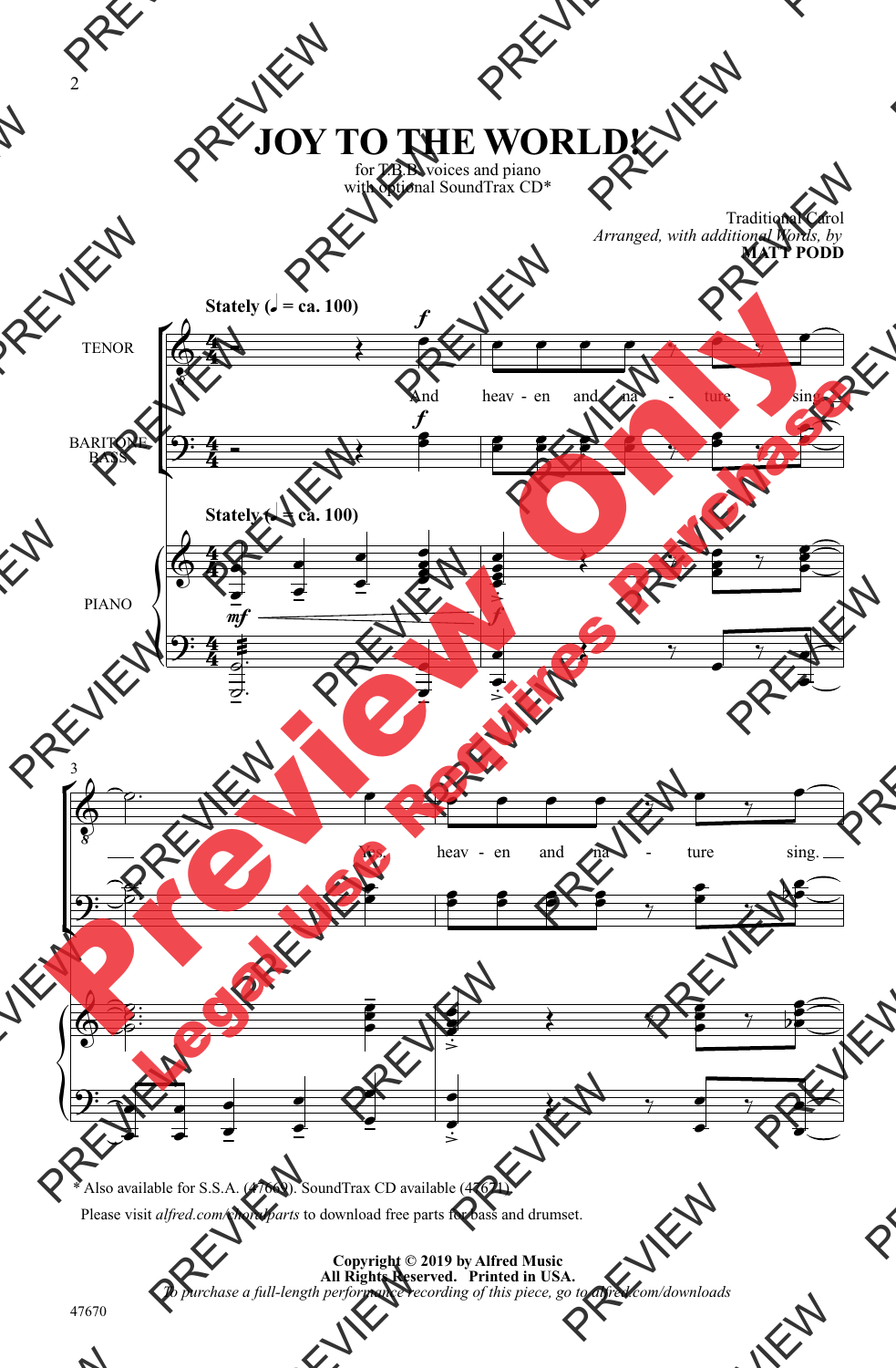## **JOY TO THE WORLD!**

for T.B.B. voices and piano with optional SoundTrax CD\*

> Traditional Carol *Arranged, with additional Words, by* **MATT PODD**



\* Also available for S.S.A. (47669). SoundTrax CD available (47671).

Please visit *alfred.com/choralparts* to download free parts for bass and drumset.

**Copyright © 2019 by Alfred Music All Rights Reserved. Printed in USA.** *To purchase a full-length performance recording of this piece, go to alfred.com/downloads*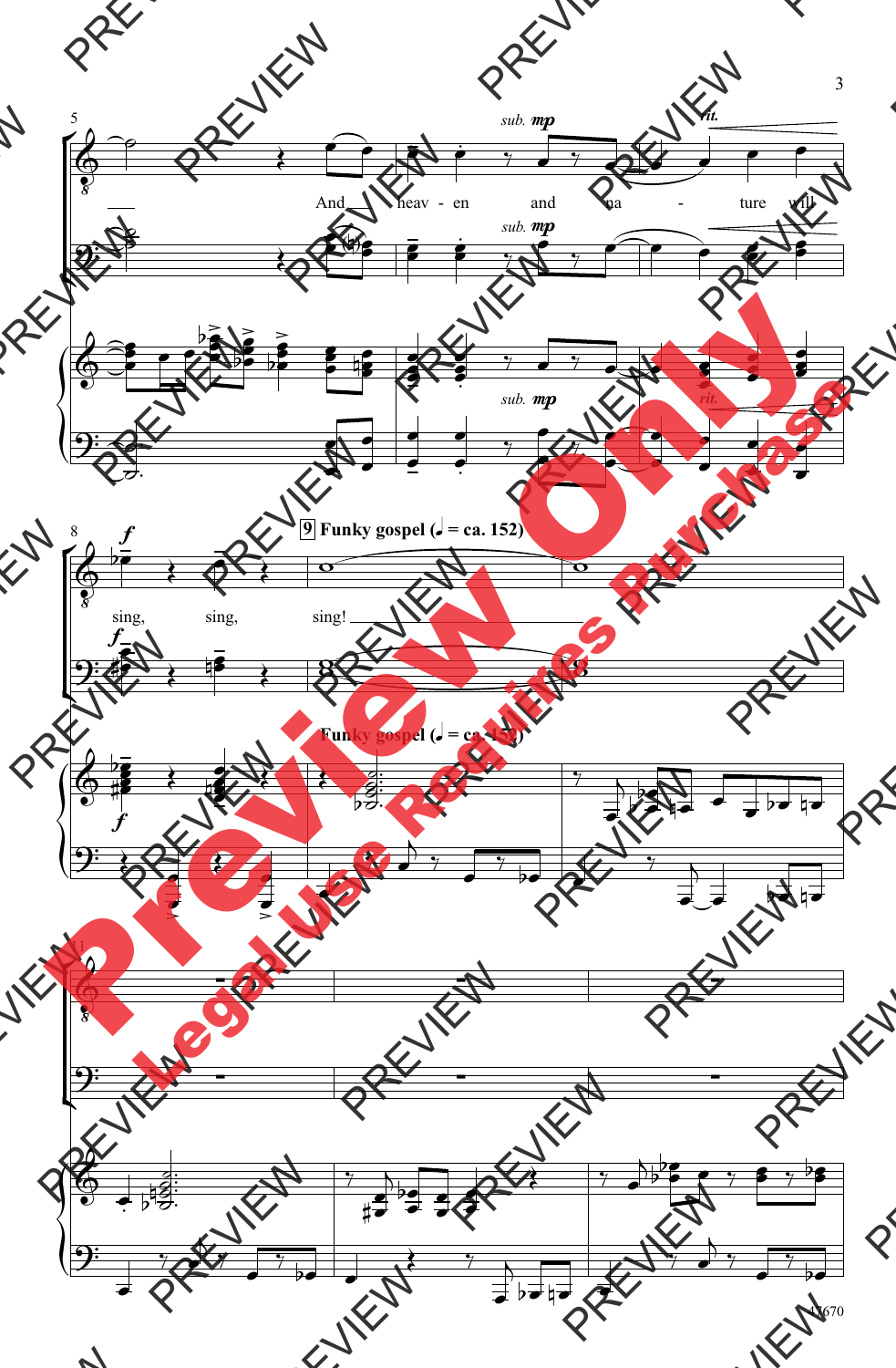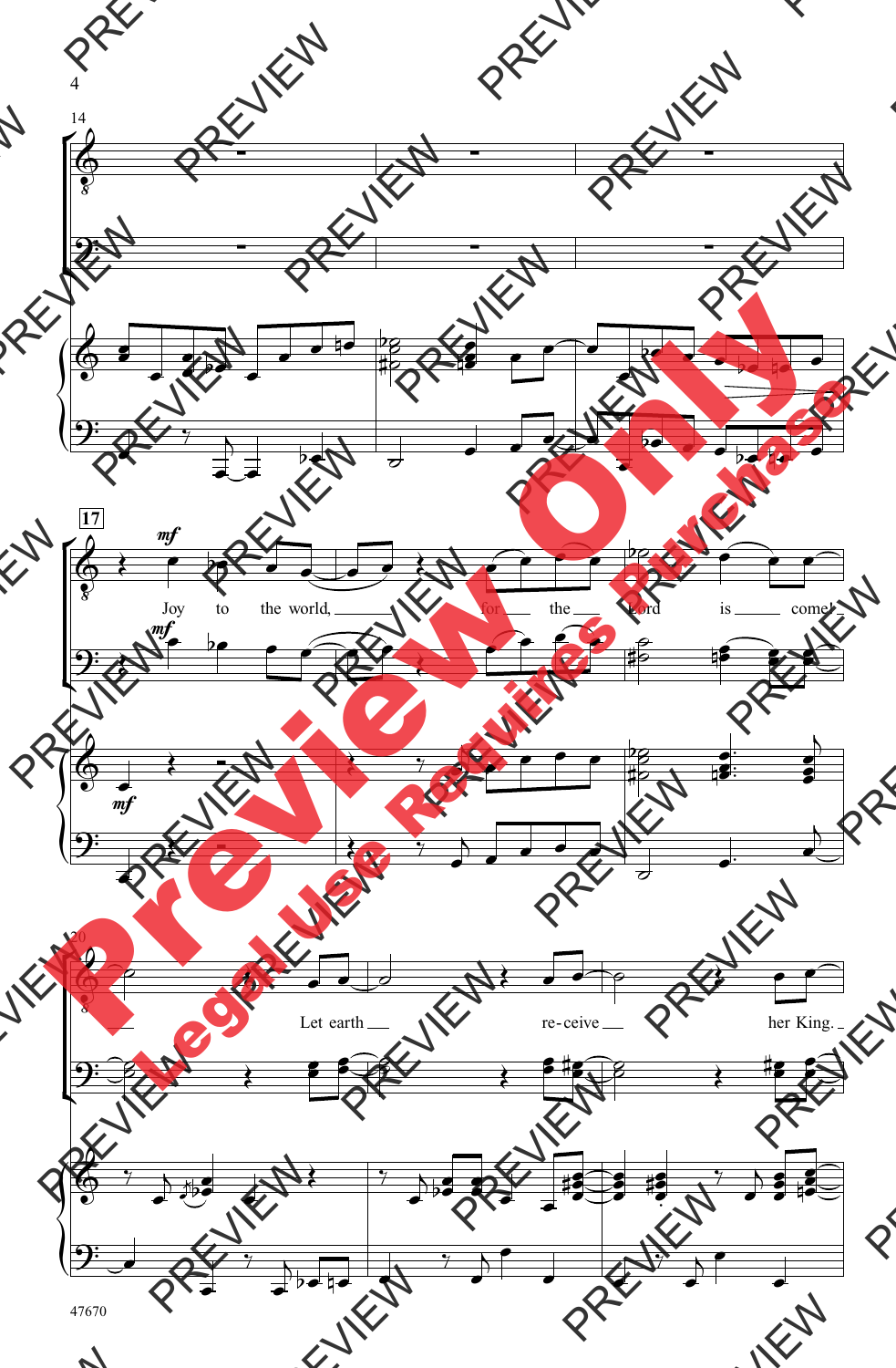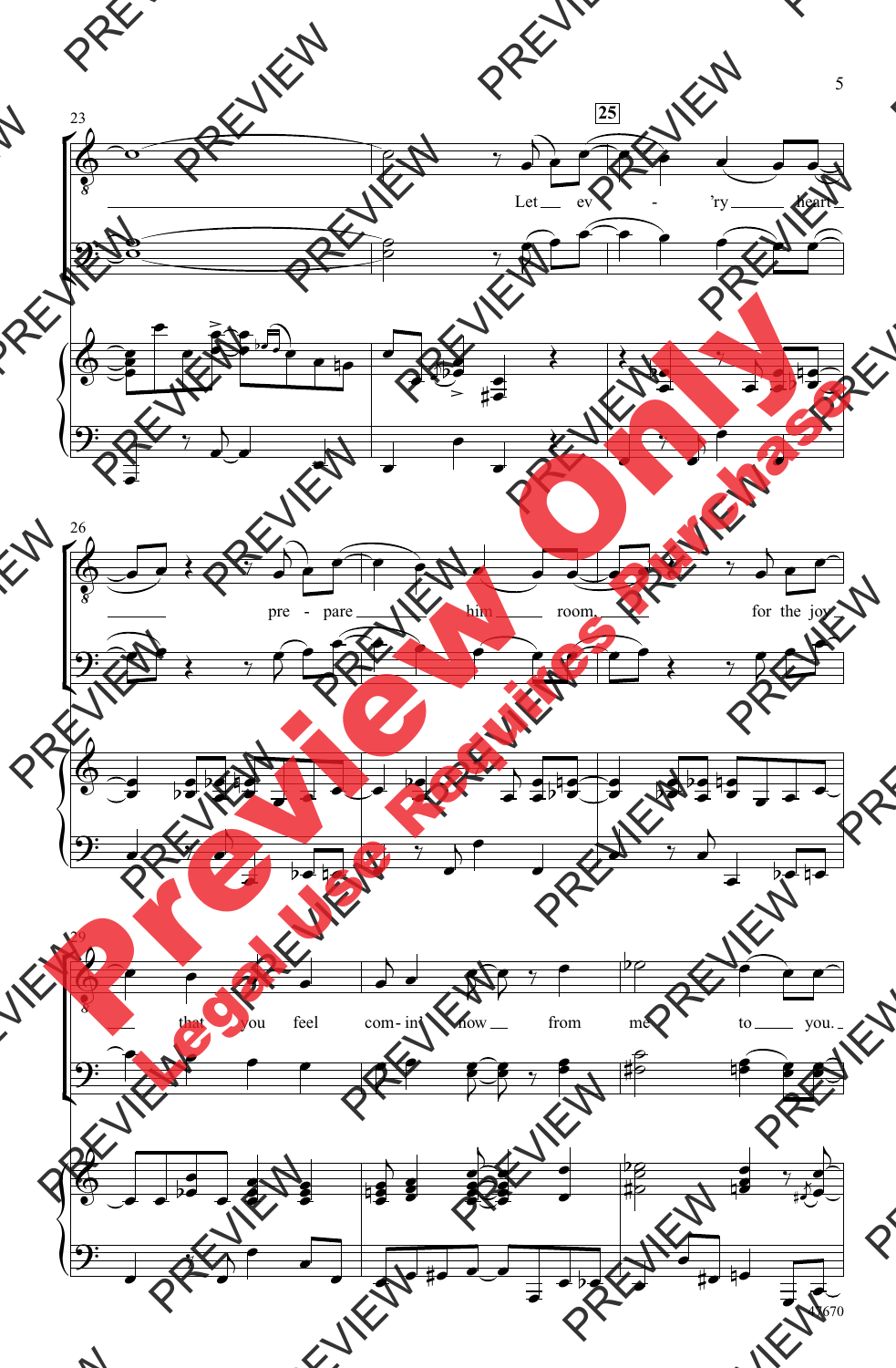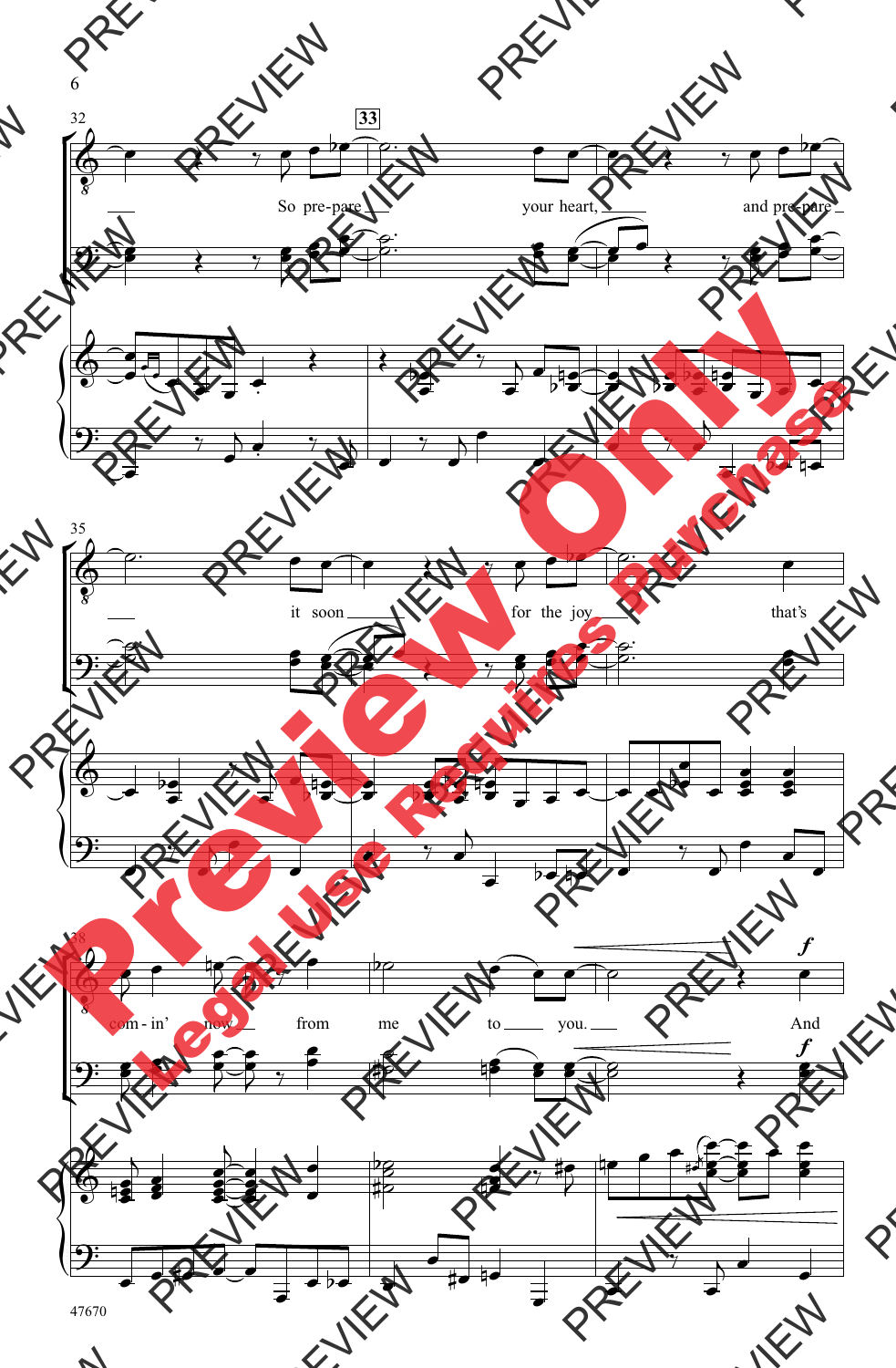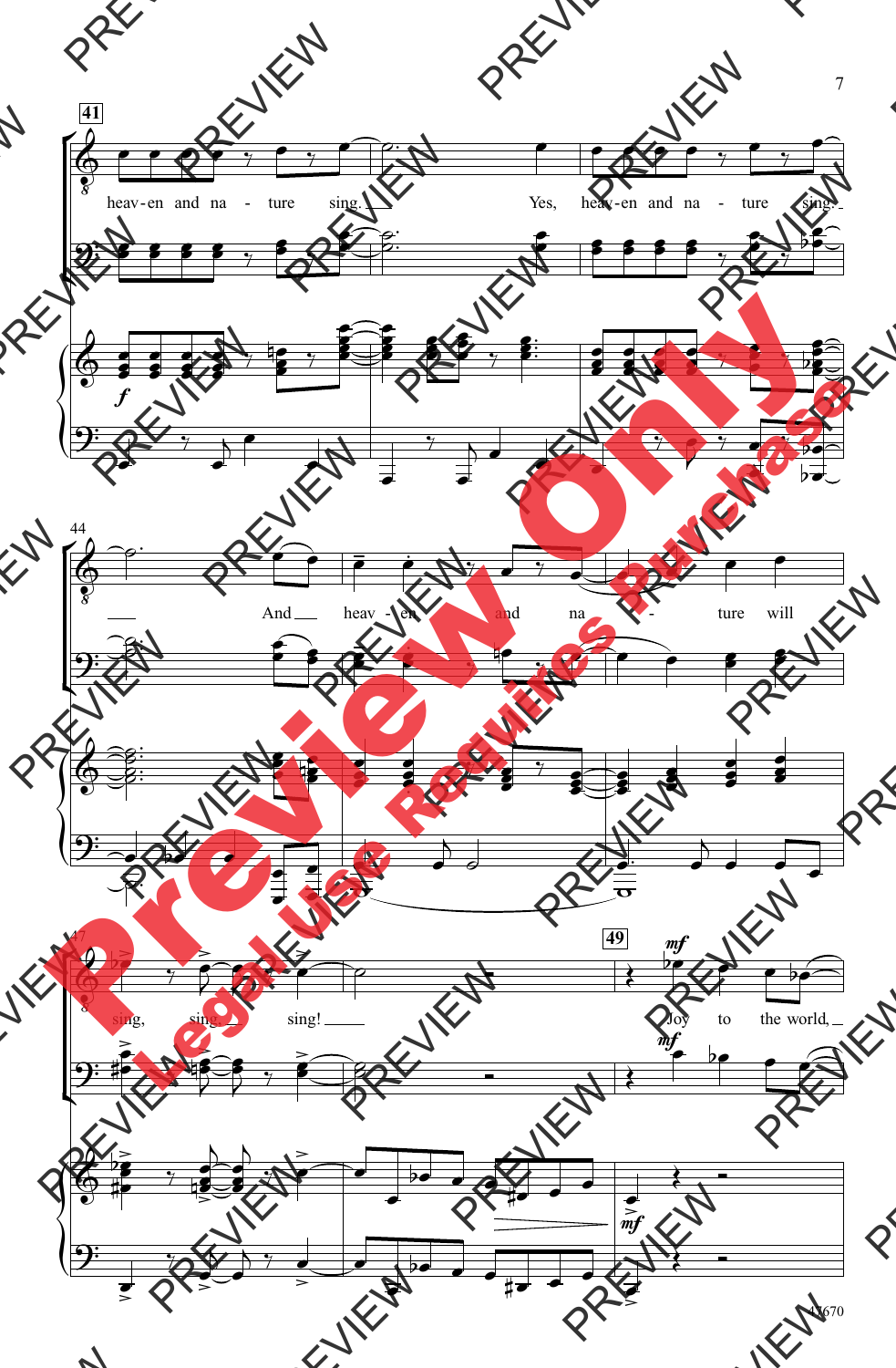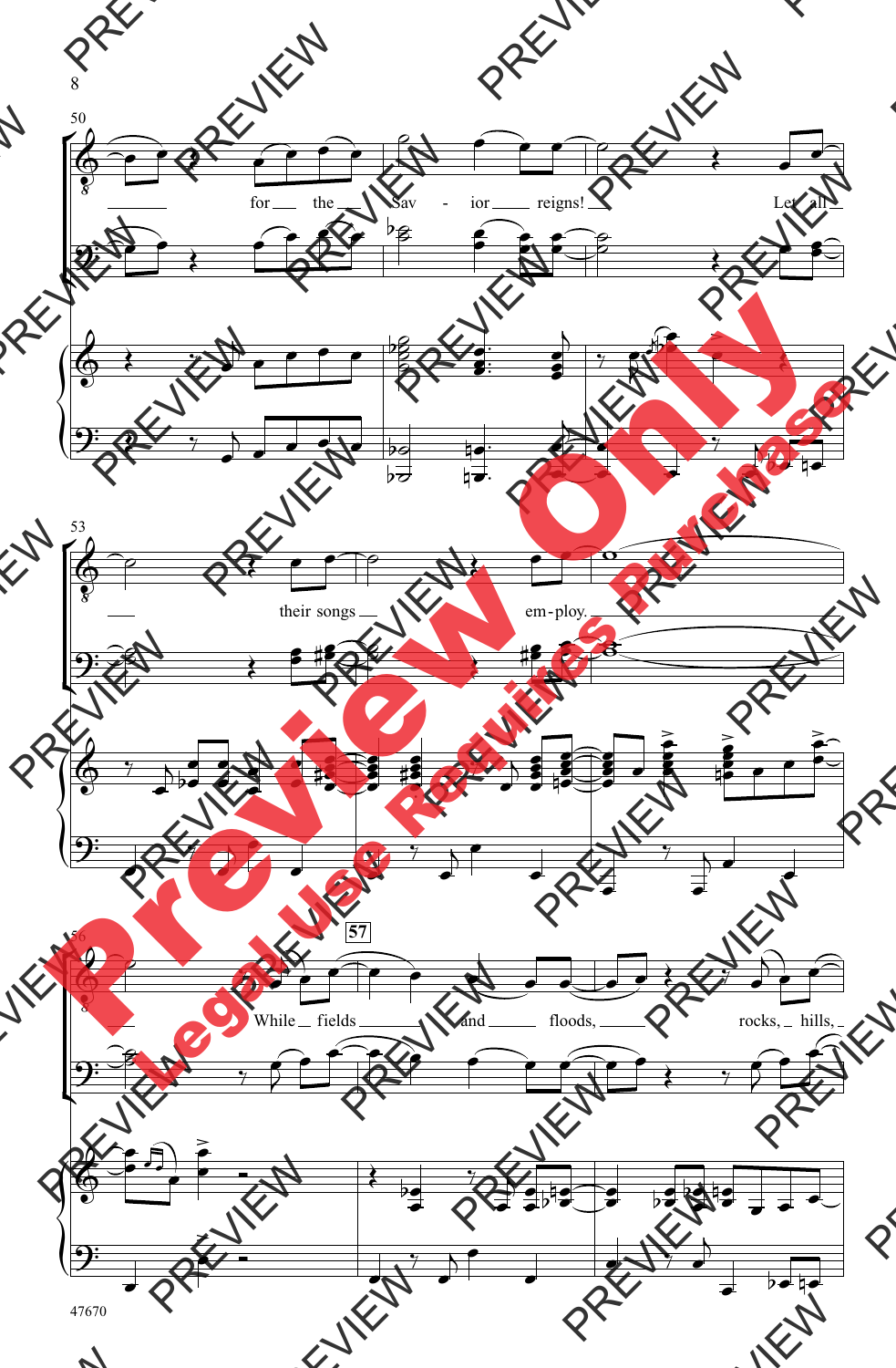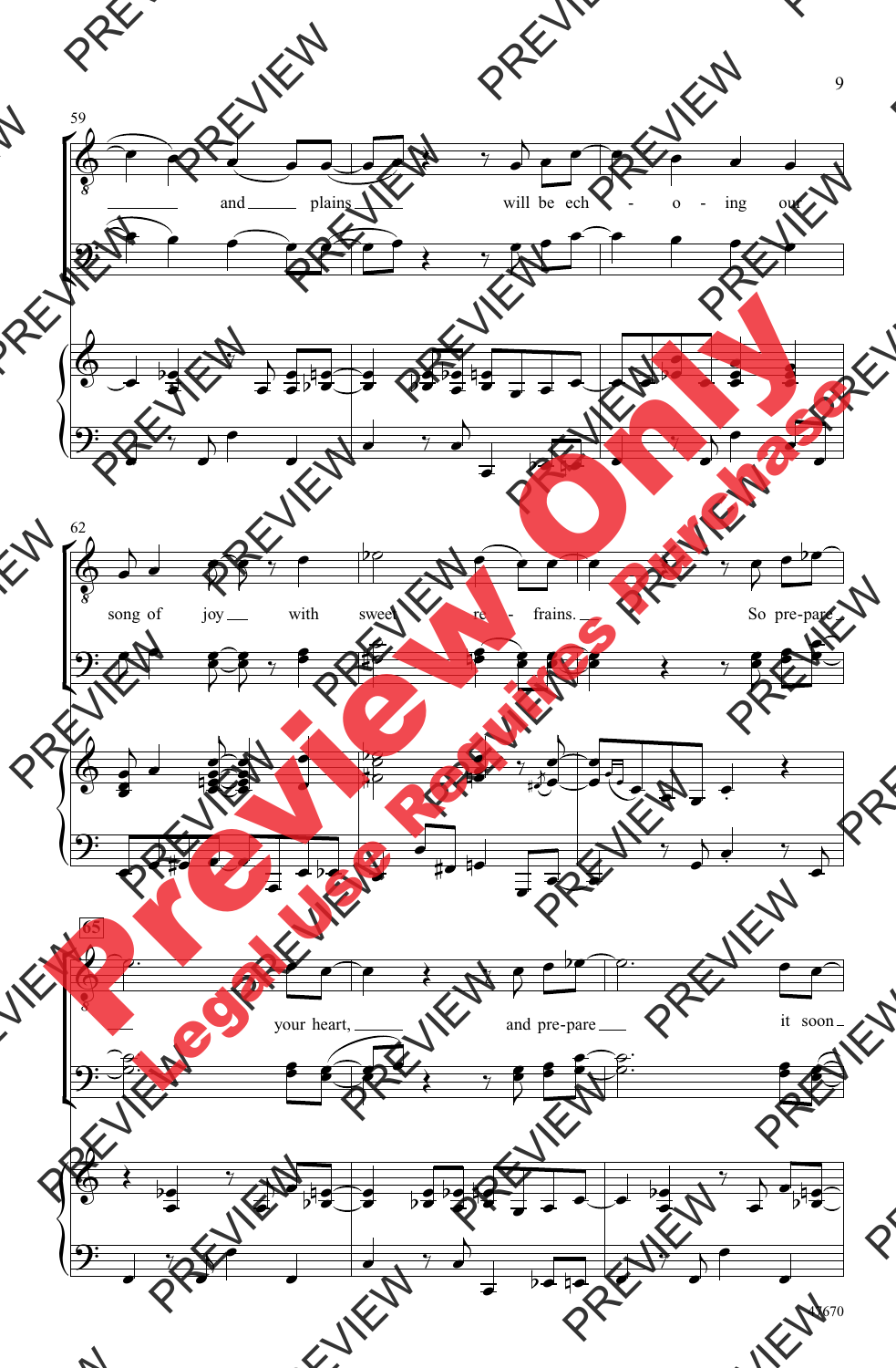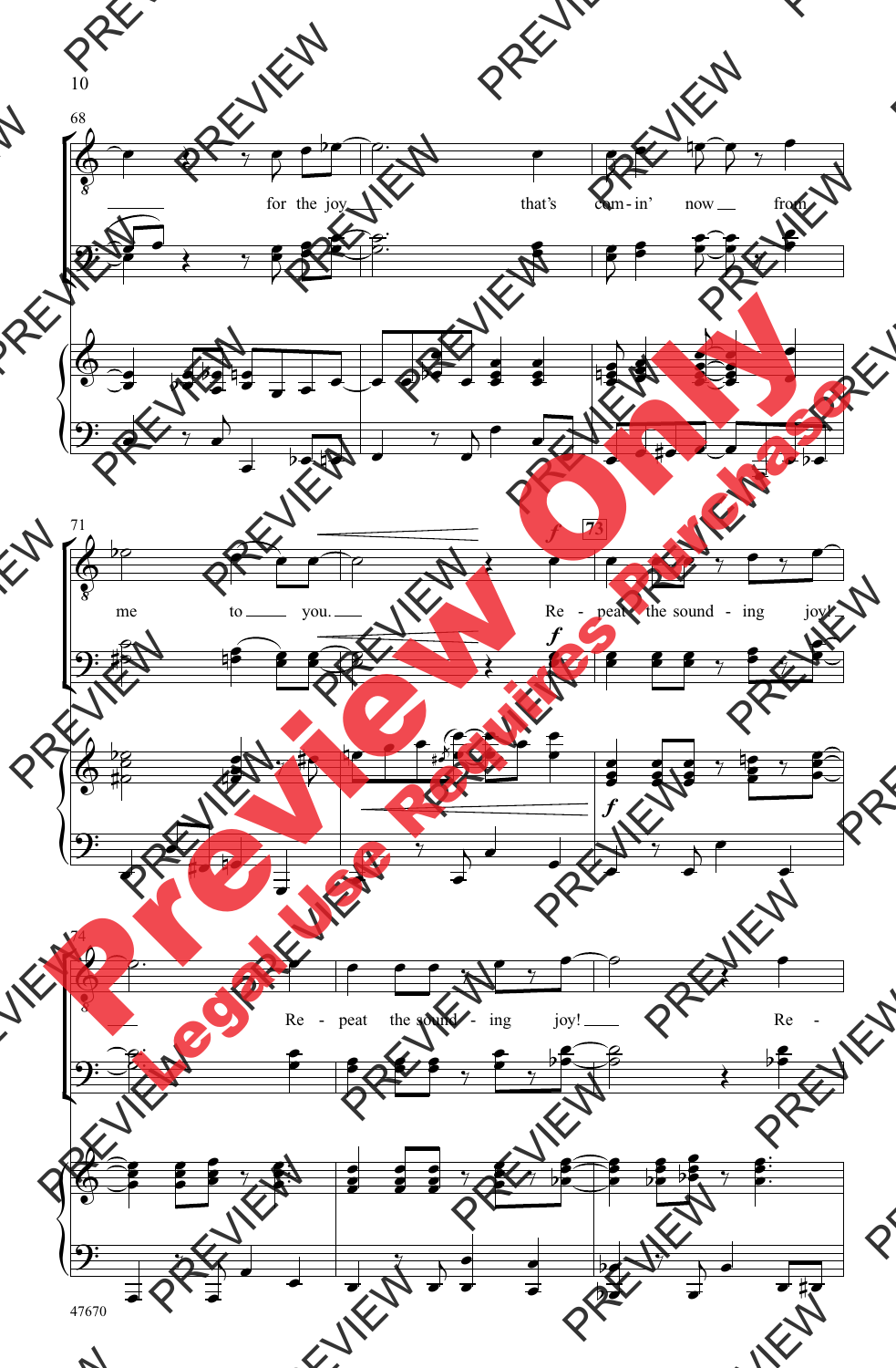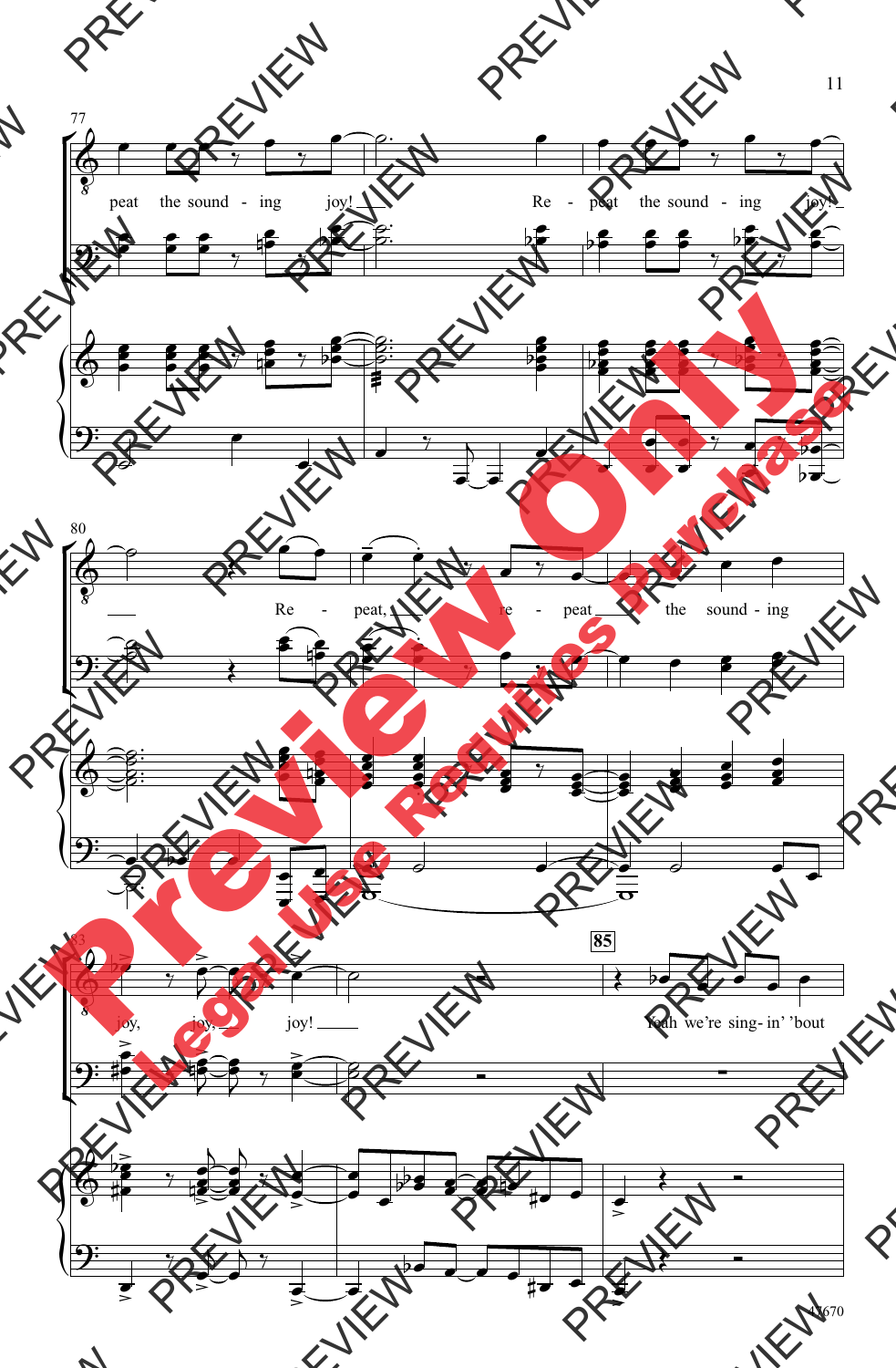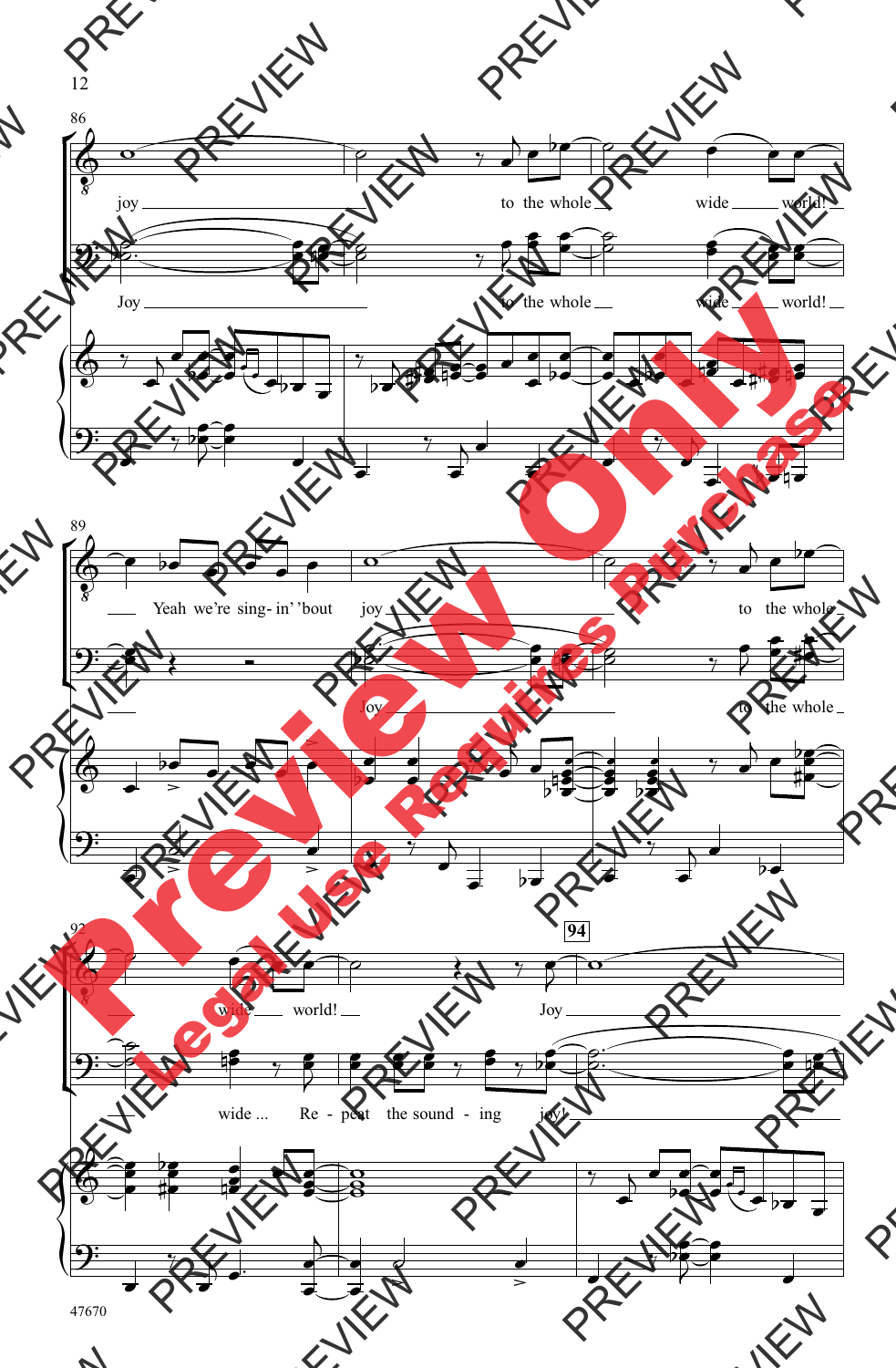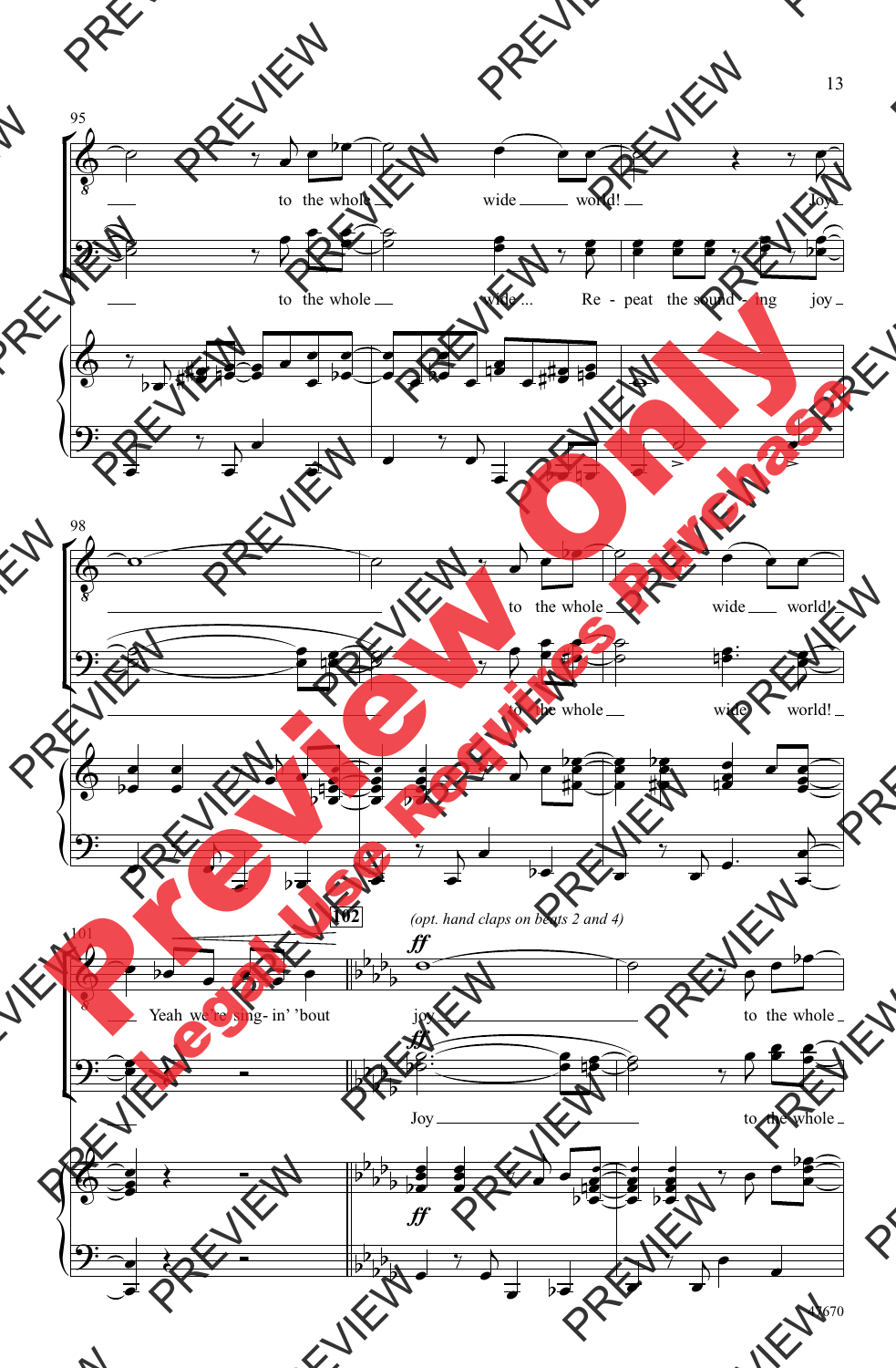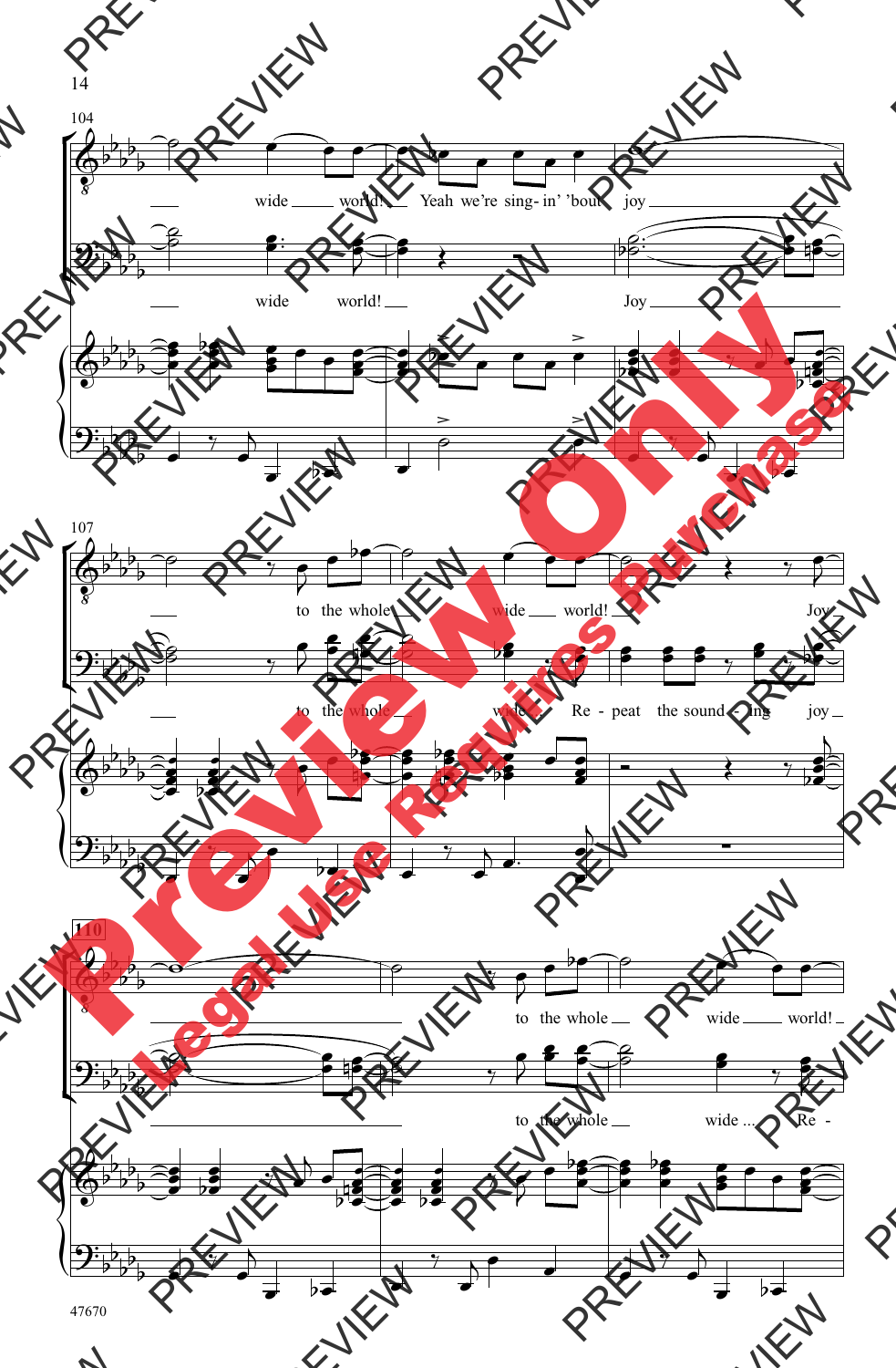